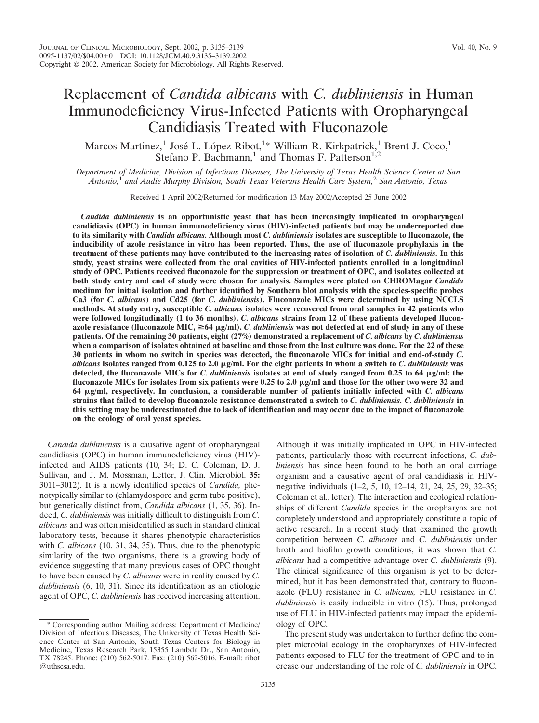# Replacement of *Candida albicans* with *C. dubliniensis* in Human Immunodeficiency Virus-Infected Patients with Oropharyngeal Candidiasis Treated with Fluconazole

Marcos Martinez,<sup>1</sup> José L. López-Ribot,<sup>1</sup>\* William R. Kirkpatrick,<sup>1</sup> Brent J. Coco,<sup>1</sup> Stefano P. Bachmann,<sup>1</sup> and Thomas F. Patterson<sup>1,2</sup>

*Department of Medicine, Division of Infectious Diseases, The University of Texas Health Science Center at San Antonio,*<sup>1</sup> *and Audie Murphy Division, South Texas Veterans Health Care System,*<sup>2</sup> *San Antonio, Texas*

Received 1 April 2002/Returned for modification 13 May 2002/Accepted 25 June 2002

*Candida dubliniensis* **is an opportunistic yeast that has been increasingly implicated in oropharyngeal candidiasis (OPC) in human immunodeficiency virus (HIV)-infected patients but may be underreported due to its similarity with** *Candida albicans.* **Although most** *C. dubliniensis* **isolates are susceptible to fluconazole, the inducibility of azole resistance in vitro has been reported. Thus, the use of fluconazole prophylaxis in the treatment of these patients may have contributed to the increasing rates of isolation of** *C. dubliniensis.* **In this study, yeast strains were collected from the oral cavities of HIV-infected patients enrolled in a longitudinal study of OPC. Patients received fluconazole for the suppression or treatment of OPC, and isolates collected at both study entry and end of study were chosen for analysis. Samples were plated on CHROMagar** *Candida* **medium for initial isolation and further identified by Southern blot analysis with the species-specific probes Ca3 (for** *C. albicans***) and Cd25 (for** *C. dubliniensis***). Fluconazole MICs were determined by using NCCLS methods. At study entry, susceptible** *C. albicans* **isolates were recovered from oral samples in 42 patients who were followed longitudinally (1 to 36 months).** *C. albicans* **strains from 12 of these patients developed flucon**azole resistance (fluconazole MIC,  $\geq 64 \mu g/ml$ ). *C. dubliniensis* was not detected at end of study in any of these **patients. Of the remaining 30 patients, eight (27%) demonstrated a replacement of** *C. albicans* **by** *C. dubliniensis* **when a comparison of isolates obtained at baseline and those from the last culture was done. For the 22 of these 30 patients in whom no switch in species was detected, the fluconazole MICs for initial and end-of-study** *C. albicans* isolates ranged from 0.125 to 2.0  $\mu$ g/ml. For the eight patients in whom a switch to *C. dubliniensis* was **detected, the fluconazole MICs for** *C. dubliniensis* **isolates at end of study ranged from 0.25 to 64 g/ml: the fluconazole MICs for isolates from six patients were 0.25 to 2.0 g/ml and those for the other two were 32 and 64 g/ml, respectively. In conclusion, a considerable number of patients initially infected with** *C. albicans* **strains that failed to develop fluconazole resistance demonstrated a switch to** *C. dubliniensis. C. dubliniensis* **in this setting may be underestimated due to lack of identification and may occur due to the impact of fluconazole on the ecology of oral yeast species.**

*Candida dubliniensis* is a causative agent of oropharyngeal candidiasis (OPC) in human immunodeficiency virus (HIV) infected and AIDS patients (10, 34; D. C. Coleman, D. J. Sullivan, and J. M. Mossman, Letter, J. Clin. Microbiol. **35:** 3011–3012). It is a newly identified species of *Candida,* phenotypically similar to (chlamydospore and germ tube positive), but genetically distinct from, *Candida albicans* (1, 35, 36). Indeed, *C. dubliniensis* was initially difficult to distinguish from *C. albicans* and was often misidentified as such in standard clinical laboratory tests, because it shares phenotypic characteristics with *C. albicans* (10, 31, 34, 35). Thus, due to the phenotypic similarity of the two organisms, there is a growing body of evidence suggesting that many previous cases of OPC thought to have been caused by *C. albicans* were in reality caused by *C. dubliniensis* (6, 10, 31). Since its identification as an etiologic agent of OPC, *C. dubliniensis* has received increasing attention.

Although it was initially implicated in OPC in HIV-infected patients, particularly those with recurrent infections, *C. dubliniensis* has since been found to be both an oral carriage organism and a causative agent of oral candidiasis in HIVnegative individuals (1–2, 5, 10, 12–14, 21, 24, 25, 29, 32–35; Coleman et al., letter). The interaction and ecological relationships of different *Candida* species in the oropharynx are not completely understood and appropriately constitute a topic of active research. In a recent study that examined the growth competition between *C. albicans* and *C. dubliniensis* under broth and biofilm growth conditions, it was shown that *C. albicans* had a competitive advantage over *C. dubliniensis* (9). The clinical significance of this organism is yet to be determined, but it has been demonstrated that, contrary to fluconazole (FLU) resistance in *C. albicans,* FLU resistance in *C. dubliniensis* is easily inducible in vitro (15). Thus, prolonged use of FLU in HIV-infected patients may impact the epidemiology of OPC.

The present study was undertaken to further define the complex microbial ecology in the oropharynxes of HIV-infected patients exposed to FLU for the treatment of OPC and to increase our understanding of the role of *C. dubliniensis* in OPC.

<sup>\*</sup> Corresponding author Mailing address: Department of Medicine/ Division of Infectious Diseases, The University of Texas Health Science Center at San Antonio, South Texas Centers for Biology in Medicine, Texas Research Park, 15355 Lambda Dr., San Antonio, TX 78245. Phone: (210) 562-5017. Fax: (210) 562-5016. E-mail: ribot @uthscsa.edu.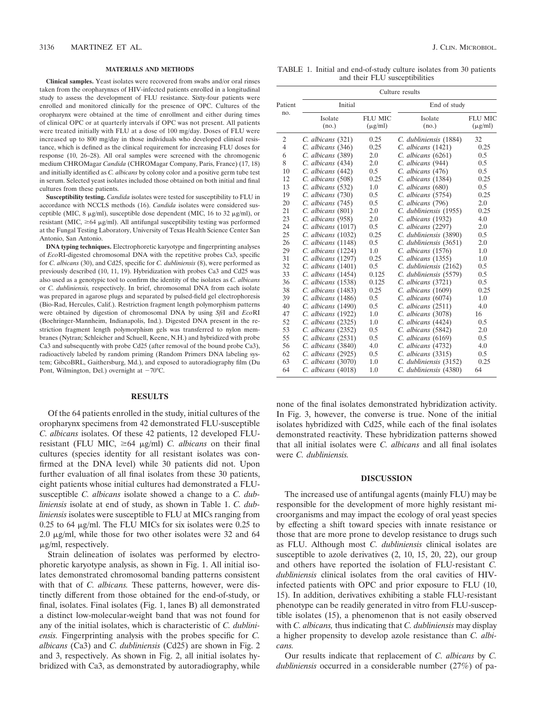#### **MATERIALS AND METHODS**

**Clinical samples.** Yeast isolates were recovered from swabs and/or oral rinses taken from the oropharynxes of HIV-infected patients enrolled in a longitudinal study to assess the development of FLU resistance. Sixty-four patients were enrolled and monitored clinically for the presence of OPC. Cultures of the oropharynx were obtained at the time of enrollment and either during times of clinical OPC or at quarterly intervals if OPC was not present. All patients were treated initially with FLU at a dose of 100 mg/day. Doses of FLU were increased up to 800 mg/day in those individuals who developed clinical resistance, which is defined as the clinical requirement for increasing FLU doses for response (10, 26–28). All oral samples were screened with the chromogenic medium CHROMagar *Candida* (CHROMagar Company, Paris, France) (17, 18) and initially identified as *C. albicans* by colony color and a positive germ tube test in serum. Selected yeast isolates included those obtained on both initial and final cultures from these patients.

**Susceptibility testing.** *Candida* isolates were tested for susceptibility to FLU in accordance with NCCLS methods (16). *Candida* isolates were considered susceptible (MIC,  $8 \mu g/ml$ ), susceptible dose dependent (MIC, 16 to 32  $\mu g/ml$ ), or resistant (MIC,  $\geq$ 64  $\mu$ g/ml). All antifungal susceptibility testing was performed at the Fungal Testing Laboratory, University of Texas Health Science Center San Antonio, San Antonio.

**DNA typing techniques.** Electrophoretic karyotype and fingerprinting analyses of *Eco*RI-digested chromosomal DNA with the repetitive probes Ca3, specific for *C. albicans* (30), and Cd25, specific for *C. dubliniensis* (8), were performed as previously described (10, 11, 19). Hybridization with probes Ca3 and Cd25 was also used as a genotypic tool to confirm the identity of the isolates as *C. albicans* or *C. dubliniensis,* respectively. In brief, chromosomal DNA from each isolate was prepared in agarose plugs and separated by pulsed-field gel electrophoresis (Bio-Rad, Hercules, Calif.). Restriction fragment length polymorphism patterns were obtained by digestion of chromosomal DNA by using *Sfi*I and *Eco*RI (Boehringer-Mannheim, Indianapolis, Ind.). Digested DNA present in the restriction fragment length polymorphism gels was transferred to nylon membranes (Nytran; Schleicher and Schuell, Keene, N.H.) and hybridized with probe Ca3 and subsequently with probe Cd25 (after removal of the bound probe Ca3), radioactively labeled by random priming (Random Primers DNA labeling system; GibcoBRL, Gaithersburg, Md.), and exposed to autoradiography film (Du Pont, Wilmington, Del.) overnight at  $-70^{\circ}$ C.

## **RESULTS**

Of the 64 patients enrolled in the study, initial cultures of the oropharynx specimens from 42 demonstrated FLU-susceptible *C. albicans* isolates. Of these 42 patients, 12 developed FLUresistant (FLU MIC,  $\geq 64$   $\mu$ g/ml) *C. albicans* on their final cultures (species identity for all resistant isolates was confirmed at the DNA level) while 30 patients did not. Upon further evaluation of all final isolates from these 30 patients, eight patients whose initial cultures had demonstrated a FLUsusceptible *C. albicans* isolate showed a change to a *C. dubliniensis* isolate at end of study, as shown in Table 1. *C. dubliniensis* isolates were susceptible to FLU at MICs ranging from  $0.25$  to 64  $\mu$ g/ml. The FLU MICs for six isolates were 0.25 to 2.0  $\mu$ g/ml, while those for two other isolates were 32 and 64  $\mu$ g/ml, respectively.

Strain delineation of isolates was performed by electrophoretic karyotype analysis, as shown in Fig. 1. All initial isolates demonstrated chromosomal banding patterns consistent with that of *C. albicans.* These patterns, however, were distinctly different from those obtained for the end-of-study, or final, isolates. Final isolates (Fig. 1, lanes B) all demonstrated a distinct low-molecular-weight band that was not found for any of the initial isolates, which is characteristic of *C. dubliniensis.* Fingerprinting analysis with the probes specific for *C. albicans* (Ca3) and *C. dubliniensis* (Cd25) are shown in Fig. 2 and 3, respectively. As shown in Fig. 2, all initial isolates hybridized with Ca3, as demonstrated by autoradiography, while

TABLE 1. Initial and end-of-study culture isolates from 30 patients and their FLU susceptibilities

|                | Culture results        |                |                        |                |  |  |  |  |  |  |  |  |
|----------------|------------------------|----------------|------------------------|----------------|--|--|--|--|--|--|--|--|
| Patient        | Initial                |                | End of study           |                |  |  |  |  |  |  |  |  |
| no.            | Isolate                | <b>FLU MIC</b> | Isolate                | <b>FLU MIC</b> |  |  |  |  |  |  |  |  |
|                | (no.)                  | $(\mu$ g/ml)   | (no.)                  | $(\mu$ g/ml)   |  |  |  |  |  |  |  |  |
| 2              | C. albicans (321)      | 0.25           | C. dubliniensis (1884) | 32             |  |  |  |  |  |  |  |  |
| $\overline{4}$ | C. albicans (346)      | 0.25           | $C.$ albicans $(1421)$ | 0.25           |  |  |  |  |  |  |  |  |
| 6              | C. albicans (389)      | 2.0            | $C.$ albicans $(6261)$ | 0.5            |  |  |  |  |  |  |  |  |
| 8              | C. albicans (434)      | 2.0            | C. albicans (944)      | 0.5            |  |  |  |  |  |  |  |  |
| 10             | C. albicans (442)      | 0.5            | C. albicans (476)      | 0.5            |  |  |  |  |  |  |  |  |
| 12             | C. albicans (508)      | 0.25           | C. albicans (1384)     | 0.25           |  |  |  |  |  |  |  |  |
| 13             | C. albicans (532)      | 1.0            | C. albicans (680)      | 0.5            |  |  |  |  |  |  |  |  |
| 19             | C. albicans (730)      | 0.5            | C. albicans (5754)     | 0.25           |  |  |  |  |  |  |  |  |
| 20             | C. albicans (745)      | 0.5            | C. albicans (796)      | 2.0            |  |  |  |  |  |  |  |  |
| 21             | C. albicans (801)      | 2.0            | C. dubliniensis (1955) | 0.25           |  |  |  |  |  |  |  |  |
| 23             | C. albicans (958)      | 2.0            | C. albicans (1932)     | 4.0            |  |  |  |  |  |  |  |  |
| 24             | $C.$ albicans $(1017)$ | 0.5            | C. albicans (2297)     | 2.0            |  |  |  |  |  |  |  |  |
| 25             | $C.$ albicans $(1032)$ | 0.25           | C. dubliniensis (3890) | 0.5            |  |  |  |  |  |  |  |  |
| 26             | $C.$ albicans $(1148)$ | 0.5            | C. dubliniensis (3651) | 2.0            |  |  |  |  |  |  |  |  |
| 29             | C. albicans (1224)     | 1.0            | C. albicans (1576)     | 1.0            |  |  |  |  |  |  |  |  |
| 31             | C. albicans (1297)     | 0.25           | C. albicans (1355)     | 1.0            |  |  |  |  |  |  |  |  |
| 32             | C. albicans (1401)     | 0.5            | C. dubliniensis (2162) | 0.5            |  |  |  |  |  |  |  |  |
| 33             | C. albicans (1454)     | 0.125          | C. dubliniensis (5579) | 0.5            |  |  |  |  |  |  |  |  |
| 36             | C. albicans (1538)     | 0.125          | $C.$ albicans $(3721)$ | 0.5            |  |  |  |  |  |  |  |  |
| 38             | C. albicans (1483)     | 0.25           | $C.$ albicans $(1609)$ | 0.25           |  |  |  |  |  |  |  |  |
| 39             | C. albicans (1486)     | 0.5            | $C.$ albicans $(6074)$ | 1.0            |  |  |  |  |  |  |  |  |
| 40             | C. albicans (1490)     | 0.5            | $C.$ albicans $(2511)$ | 4.0            |  |  |  |  |  |  |  |  |
| 47             | C. albicans (1922)     | 1.0            | C. albicans (3078)     | 16             |  |  |  |  |  |  |  |  |
| 52             | $C.$ albicans $(2325)$ | 1.0            | $C.$ albicans $(4424)$ | 0.5            |  |  |  |  |  |  |  |  |
| 53             | $C.$ albicans $(2352)$ | 0.5            | $C.$ albicans $(5842)$ | 2.0            |  |  |  |  |  |  |  |  |
| 55             | C. albicans (2531)     | 0.5            | $C.$ albicans $(6169)$ | 0.5            |  |  |  |  |  |  |  |  |
| 56             | C. albicans (3840)     | 4.0            | C. albicans (4732)     | 4.0            |  |  |  |  |  |  |  |  |
| 62             | C. albicans (2925)     | 0.5            | C. albicans (3315)     | 0.5            |  |  |  |  |  |  |  |  |
| 63             | $C.$ albicans $(3070)$ | 1.0            | C. dubliniensis (3152) | 0.25           |  |  |  |  |  |  |  |  |
| 64             | C. albicans (4018)     | 1.0            | C. dubliniensis (4380) | 64             |  |  |  |  |  |  |  |  |

none of the final isolates demonstrated hybridization activity. In Fig. 3, however, the converse is true. None of the initial isolates hybridized with Cd25, while each of the final isolates demonstrated reactivity. These hybridization patterns showed that all initial isolates were *C. albicans* and all final isolates were *C. dubliniensis.*

## **DISCUSSION**

The increased use of antifungal agents (mainly FLU) may be responsible for the development of more highly resistant microorganisms and may impact the ecology of oral yeast species by effecting a shift toward species with innate resistance or those that are more prone to develop resistance to drugs such as FLU. Although most *C. dubliniensis* clinical isolates are susceptible to azole derivatives (2, 10, 15, 20, 22), our group and others have reported the isolation of FLU-resistant *C. dubliniensis* clinical isolates from the oral cavities of HIVinfected patients with OPC and prior exposure to FLU (10, 15). In addition, derivatives exhibiting a stable FLU-resistant phenotype can be readily generated in vitro from FLU-susceptible isolates (15), a phenomenon that is not easily observed with *C. albicans,* thus indicating that *C. dubliniensis* may display a higher propensity to develop azole resistance than *C. albicans.*

Our results indicate that replacement of *C. albicans* by *C. dubliniensis* occurred in a considerable number (27%) of pa-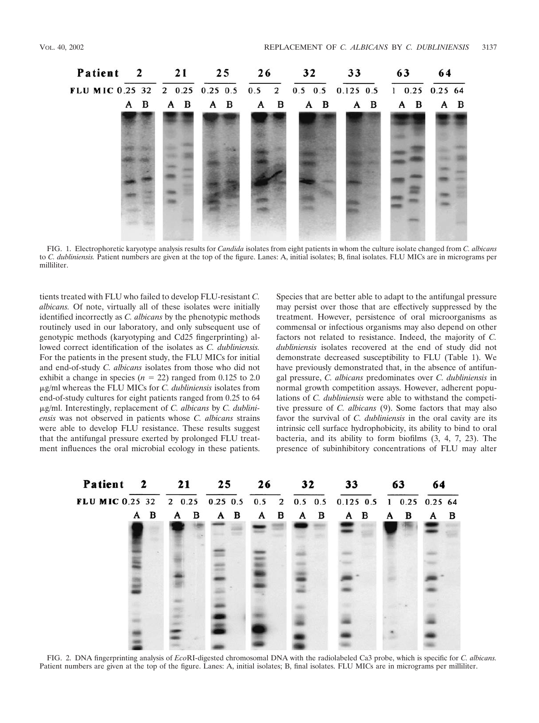

FIG. 1. Electrophoretic karyotype analysis results for *Candida* isolates from eight patients in whom the culture isolate changed from *C. albicans* to *C. dubliniensis.* Patient numbers are given at the top of the figure. Lanes: A, initial isolates; B, final isolates. FLU MICs are in micrograms per milliliter.

tients treated with FLU who failed to develop FLU-resistant *C. albicans.* Of note, virtually all of these isolates were initially identified incorrectly as *C. albicans* by the phenotypic methods routinely used in our laboratory, and only subsequent use of genotypic methods (karyotyping and Cd25 fingerprinting) allowed correct identification of the isolates as *C. dubliniensis.* For the patients in the present study, the FLU MICs for initial and end-of-study *C. albicans* isolates from those who did not exhibit a change in species  $(n = 22)$  ranged from 0.125 to 2.0 -g/ml whereas the FLU MICs for *C. dubliniensis* isolates from end-of-study cultures for eight patients ranged from 0.25 to 64 -g/ml. Interestingly, replacement of *C. albicans* by *C. dubliniensis* was not observed in patients whose *C. albicans* strains were able to develop FLU resistance. These results suggest that the antifungal pressure exerted by prolonged FLU treatment influences the oral microbial ecology in these patients. Species that are better able to adapt to the antifungal pressure may persist over those that are effectively suppressed by the treatment. However, persistence of oral microorganisms as commensal or infectious organisms may also depend on other factors not related to resistance. Indeed, the majority of *C. dubliniensis* isolates recovered at the end of study did not demonstrate decreased susceptibility to FLU (Table 1). We have previously demonstrated that, in the absence of antifungal pressure, *C. albicans* predominates over *C. dubliniensis* in normal growth competition assays. However, adherent populations of *C. dubliniensis* were able to withstand the competitive pressure of *C. albicans* (9). Some factors that may also favor the survival of *C. dubliniensis* in the oral cavity are its intrinsic cell surface hydrophobicity, its ability to bind to oral bacteria, and its ability to form biofilms (3, 4, 7, 23). The presence of subinhibitory concentrations of FLU may alter



FIG. 2. DNA fingerprinting analysis of *Eco*RI-digested chromosomal DNA with the radiolabeled Ca3 probe, which is specific for *C. albicans.* Patient numbers are given at the top of the figure. Lanes: A, initial isolates; B, final isolates. FLU MICs are in micrograms per milliliter.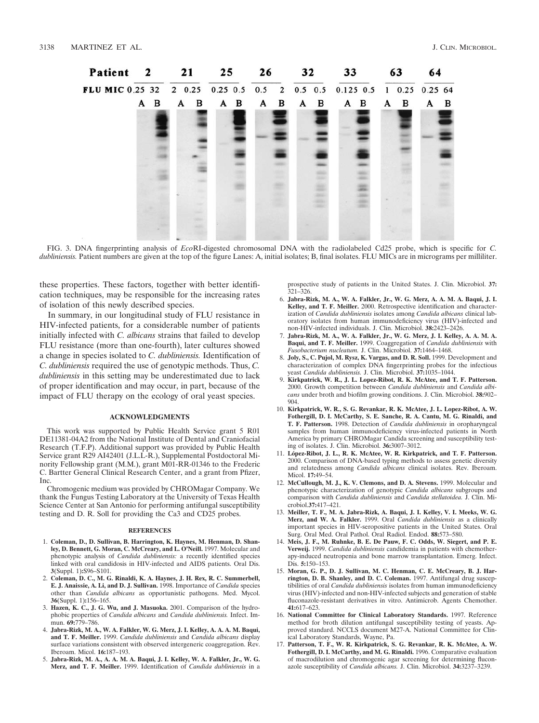F

| Patient 2 21                                                         |   |   |   | 25 | 26 |     | 32 |     | 33 |              | 63  |  | 64 |              |   |   |
|----------------------------------------------------------------------|---|---|---|----|----|-----|----|-----|----|--------------|-----|--|----|--------------|---|---|
| LUMIC 0.25 32 2 0.25 0.25 0.5 0.5 2 0.5 0.5 0.125 0.5 1 0.25 0.25 64 |   |   |   |    |    |     |    |     |    |              |     |  |    |              |   |   |
|                                                                      | A | в | A | в  |    | A B |    | A B | A  | $\mathbf{B}$ | A B |  | A  | $\mathbf{B}$ | A | B |
|                                                                      |   |   |   |    |    |     |    |     |    |              |     |  |    |              |   |   |
|                                                                      |   |   |   |    |    |     |    |     |    |              |     |  |    |              |   |   |
|                                                                      |   |   |   |    |    |     |    |     |    |              |     |  |    |              |   |   |
|                                                                      |   |   |   |    |    |     |    |     |    |              |     |  |    |              |   |   |
|                                                                      |   |   |   |    |    |     |    |     |    |              |     |  |    |              |   |   |

FIG. 3. DNA fingerprinting analysis of *Eco*RI-digested chromosomal DNA with the radiolabeled Cd25 probe, which is specific for *C. dubliniensis*. Patient numbers are given at the top of the figure Lanes: A, initial isolates; B, final isolates. FLU MICs are in micrograms per milliliter.

these properties. These factors, together with better identification techniques, may be responsible for the increasing rates of isolation of this newly described species.

In summary, in our longitudinal study of FLU resistance in HIV-infected patients, for a considerable number of patients initially infected with *C. albicans* strains that failed to develop FLU resistance (more than one-fourth), later cultures showed a change in species isolated to *C. dubliniensis.* Identification of *C. dubliniensis* required the use of genotypic methods. Thus, *C. dubliniensis* in this setting may be underestimated due to lack of proper identification and may occur, in part, because of the impact of FLU therapy on the ecology of oral yeast species.

### **ACKNOWLEDGMENTS**

This work was supported by Public Health Service grant 5 R01 DE11381-04A2 from the National Institute of Dental and Craniofacial Research (T.F.P). Additional support was provided by Public Health Service grant R29 AI42401 (J.L.L-R.), Supplemental Postdoctoral Minority Fellowship grant (M.M.), grant M01-RR-01346 to the Frederic C. Bartter General Clinical Research Center, and a grant from Pfizer, Inc.

Chromogenic medium was provided by CHROMagar Company. We thank the Fungus Testing Laboratory at the University of Texas Health Science Center at San Antonio for performing antifungal susceptibility testing and D. R. Soll for providing the Ca3 and CD25 probes.

#### **REFERENCES**

- 1. **Coleman, D., D. Sullivan, B. Harrington, K. Haynes, M. Henman, D. Shanley, D. Bennett, G. Moran, C. McCreary, and L. O'Neill.** 1997. Molecular and phenotypic analysis of *Candida dubliniensis:* a recently identified species linked with oral candidosis in HIV-infected and AIDS patients. Oral Dis. **3**(Suppl. 1)**:**S96–S101.
- 2. **Coleman, D. C., M. G. Rinaldi, K. A. Haynes, J. H. Rex, R. C. Summerbell, E. J. Anaissie, A. Li, and D. J. Sullivan.** 1998. Importance of *Candida* species other than *Candida albicans* as opportunistic pathogens. Med. Mycol. **36**(Suppl. 1)**:**156–165.
- 3. **Hazen, K. C., J. G. Wu, and J. Masuoka.** 2001. Comparison of the hydrophobic properties of *Candida albicans* and *Candida dubliniensis.* Infect. Im-mun. **69:**779–786.
- 4. **Jabra-Rizk, M. A., W. A. Falkler, W. G. Merz, J. I. Kelley, A. A. A. M. Baqui, and T. F. Meiller.** 1999. *Candida dubliniensis* and *Candida albicans* display surface variations consistent with observed intergeneric coaggregation. Rev. Iberoam. Micol. **16:**187–193.
- 5. **Jabra-Rizk, M. A., A. A. M. A. Baqui, J. I. Kelley, W. A. Falkler, Jr., W. G. Merz, and T. F. Meiller.** 1999. Identification of *Candida dubliniensis* in a

prospective study of patients in the United States. J. Clin. Microbiol. **37:**  $321 - 326$ .

- 6. **Jabra-Rizk, M. A., W. A. Falkler, Jr., W. G. Merz, A. A. M. A. Baqui, J. I. Kelley, and T. F. Meiller.** 2000. Retrospective identification and characterization of *Candida dubliniensis* isolates among *Candida albicans* clinical laboratory isolates from human immunodeficiency virus (HIV)-infected and non-HIV-infected individuals. J. Clin. Microbiol. **38:**2423–2426.
- 7. **Jabra-Rizk, M. A., W. A. Falkler, Jr., W. G. Merz, J. I. Kelley, A. A. M. A. Baqui, and T. F. Meiller.** 1999. Coaggregation of *Candida dubliniensis* with *Fusobacterium nucleatum.* J. Clin. Microbiol. **37:**1464–1468.
- 8. **Joly, S., C. Pujol, M. Rysz, K. Vargas, and D. R. Soll.** 1999. Development and characterization of complex DNA fingerprinting probes for the infectious yeast *Candida dubliniensis.* J. Clin. Microbiol. **37:**1035–1044.
- 9. **Kirkpatrick, W. R., J. L. Lopez-Ribot, R. K. McAtee, and T. F. Patterson.** 2000. Growth competition between *Candida dubliniensis* and *Candida albicans* under broth and biofilm growing conditions. J. Clin. Microbiol. **38:**902– 904.
- 10. **Kirkpatrick, W. R., S. G. Revankar, R. K. McAtee, J. L. Lopez-Ribot, A. W. Fothergill, D. I. McCarthy, S. E. Sanche, R. A. Cantu, M. G. Rinaldi, and T. F. Patterson.** 1998. Detection of *Candida dubliniensis* in oropharyngeal samples from human immunodeficiency virus-infected patients in North America by primary CHROMagar Candida screening and susceptibility testing of isolates. J. Clin. Microbiol. **36:**3007–3012.
- 11. **Lo´pez-Ribot, J. L., R. K. McAtee, W. R. Kirkpatrick, and T. F. Patterson.** 2000. Comparison of DNA-based typing methods to assess genetic diversity and relatedness among *Candida albicans* clinical isolates. Rev. Iberoam. Micol. **17:**49–54.
- 12. **McCullough, M. J., K. V. Clemons, and D. A. Stevens.** 1999. Molecular and phenotypic characterization of genotypic *Candida albicans* subgroups and comparison with *Candida dubliniensis* and *Candida stellatoidea.* J. Clin. Microbiol.**37:**417–421.
- 13. **Meiller, T. F., M. A. Jabra-Rizk, A. Baqui, J. I. Kelley, V. I. Meeks, W. G. Merz, and W. A. Falkler.** 1999. Oral *Candida dubliniensis* as a clinically important species in HIV-seropositive patients in the United States. Oral Surg. Oral Med. Oral Pathol. Oral Radiol. Endod. **88:**573–580.
- 14. **Meis, J. F., M. Ruhnke, B. E. De Pauw, F. C. Odds, W. Siegert, and P. E. Verweij.** 1999. *Candida dubliniensis* candidemia in patients with chemotherapy-induced neutropenia and bone marrow transplantation. Emerg. Infect. Dis. **5:**150–153.
- 15. **Moran, G. P., D. J. Sullivan, M. C. Henman, C. E. McCreary, B. J. Harrington, D. B. Shanley, and D. C. Coleman.** 1997. Antifungal drug susceptibilities of oral *Candida dubliniensis* isolates from human immunodeficiency virus (HIV)-infected and non-HIV-infected subjects and generation of stable fluconazole-resistant derivatives in vitro. Antimicrob. Agents Chemother. **41:**617–623.
- 16. **National Committee for Clinical Laboratory Standards.** 1997. Reference method for broth dilution antifungal susceptibility testing of yeasts. Approved standard. NCCLS document M27-A. National Committee for Clin-
- ical Laboratory Standards, Wayne, Pa. 17. **Patterson, T. F., W. R. Kirkpatrick, S. G. Revankar, R. K. McAtee, A. W. Fothergill, D. I. McCarthy, and M. G. Rinaldi.** 1996. Comparative evaluation of macrodilution and chromogenic agar screening for determining fluconazole susceptibility of *Candida albicans.* J. Clin. Microbiol. **34:**3237–3239.